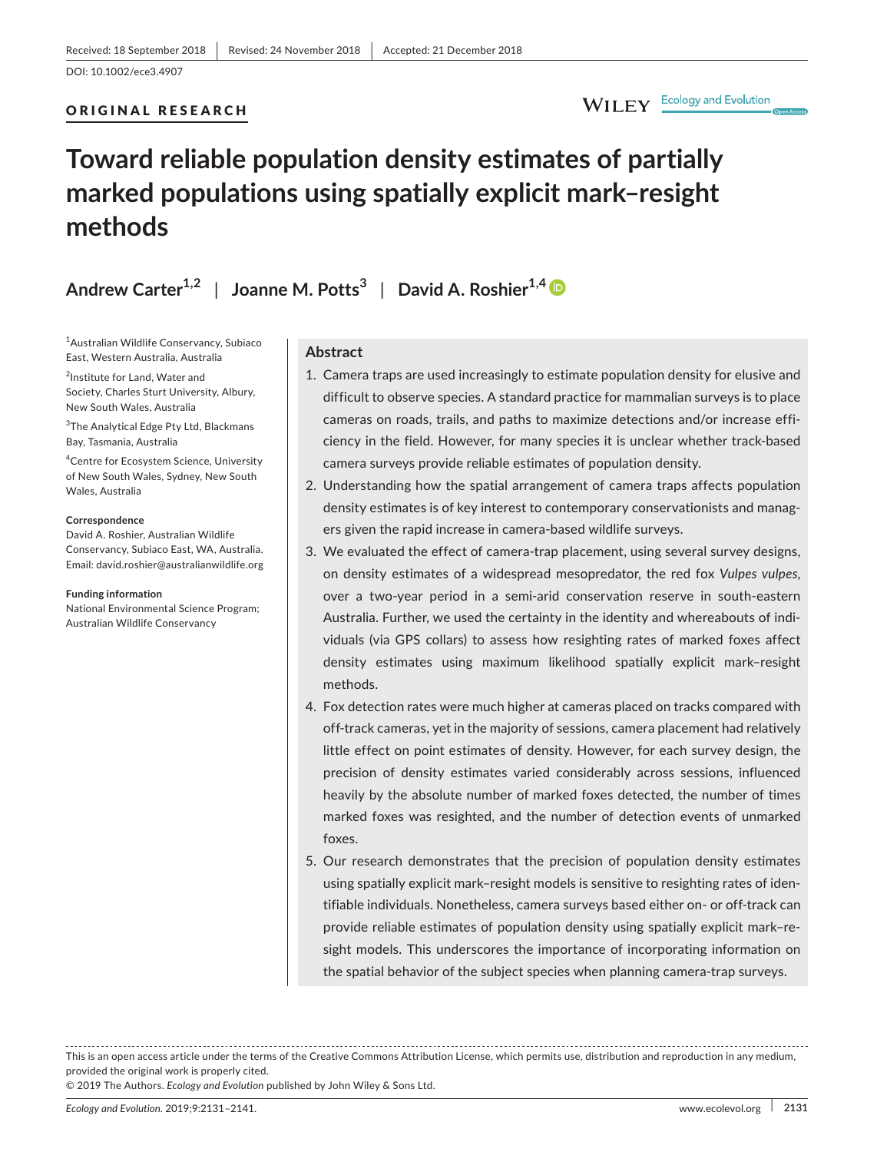#### ORIGINAL RESEARCH

# WILEY Ecology and Evolution

# **Toward reliable population density estimates of partially marked populations using spatially explicit mark–resight methods**

|  |  | Andrew Carter <sup>1,2</sup>   Joanne M. Potts <sup>3</sup>   David A. Roshier <sup>1,4</sup> D |
|--|--|-------------------------------------------------------------------------------------------------|
|--|--|-------------------------------------------------------------------------------------------------|

1 Australian Wildlife Conservancy, Subiaco East, Western Australia, Australia

2 Institute for Land, Water and Society, Charles Sturt University, Albury, New South Wales, Australia

3 The Analytical Edge Pty Ltd, Blackmans Bay, Tasmania, Australia

4 Centre for Ecosystem Science, University of New South Wales, Sydney, New South Wales, Australia

#### **Correspondence**

David A. Roshier, Australian Wildlife Conservancy, Subiaco East, WA, Australia. Email: [david.roshier@australianwildlife.org](mailto:david.roshier@australianwildlife.org)

#### **Funding information**

National Environmental Science Program; Australian Wildlife Conservancy

#### **Abstract**

- 1. Camera traps are used increasingly to estimate population density for elusive and difficult to observe species. A standard practice for mammalian surveys is to place cameras on roads, trails, and paths to maximize detections and/or increase efficiency in the field. However, for many species it is unclear whether track‐based camera surveys provide reliable estimates of population density.
- 2. Understanding how the spatial arrangement of camera traps affects population density estimates is of key interest to contemporary conservationists and managers given the rapid increase in camera‐based wildlife surveys.
- 3. We evaluated the effect of camera-trap placement, using several survey designs, on density estimates of a widespread mesopredator, the red fox *Vulpes vulpes*, over a two‐year period in a semi‐arid conservation reserve in south‐eastern Australia. Further, we used the certainty in the identity and whereabouts of individuals (via GPS collars) to assess how resighting rates of marked foxes affect density estimates using maximum likelihood spatially explicit mark–resight methods.
- 4. Fox detection rates were much higher at cameras placed on tracks compared with off-track cameras, yet in the majority of sessions, camera placement had relatively little effect on point estimates of density. However, for each survey design, the precision of density estimates varied considerably across sessions, influenced heavily by the absolute number of marked foxes detected, the number of times marked foxes was resighted, and the number of detection events of unmarked foxes.
- 5. Our research demonstrates that the precision of population density estimates using spatially explicit mark–resight models is sensitive to resighting rates of identifiable individuals. Nonetheless, camera surveys based either on‐ or off‐track can provide reliable estimates of population density using spatially explicit mark–resight models. This underscores the importance of incorporating information on the spatial behavior of the subject species when planning camera‐trap surveys.

This is an open access article under the terms of the Creative Commons [Attribution](http://creativecommons.org/licenses/by/4.0/) License, which permits use, distribution and reproduction in any medium, provided the original work is properly cited.

© 2019 The Authors. *Ecology and Evolution* published by John Wiley & Sons Ltd.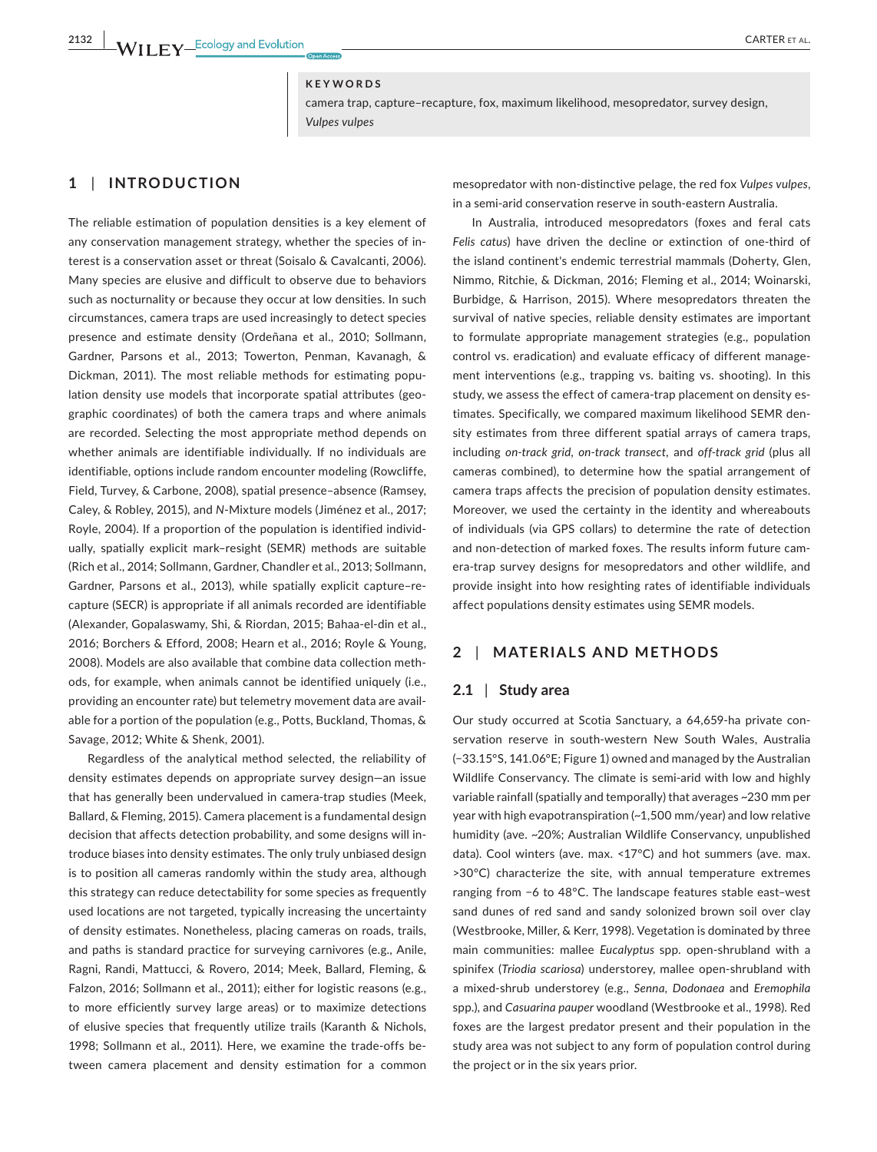#### **KEYWORDS**

camera trap, capture–recapture, fox, maximum likelihood, mesopredator, survey design, *Vulpes vulpes*

# **1** | **INTRODUCTION**

The reliable estimation of population densities is a key element of any conservation management strategy, whether the species of interest is a conservation asset or threat (Soisalo & Cavalcanti, 2006). Many species are elusive and difficult to observe due to behaviors such as nocturnality or because they occur at low densities. In such circumstances, camera traps are used increasingly to detect species presence and estimate density (Ordeñana et al., 2010; Sollmann, Gardner, Parsons et al., 2013; Towerton, Penman, Kavanagh, & Dickman, 2011). The most reliable methods for estimating population density use models that incorporate spatial attributes (geographic coordinates) of both the camera traps and where animals are recorded. Selecting the most appropriate method depends on whether animals are identifiable individually. If no individuals are identifiable, options include random encounter modeling (Rowcliffe, Field, Turvey, & Carbone, 2008), spatial presence–absence (Ramsey, Caley, & Robley, 2015), and *N*‐Mixture models (Jiménez et al., 2017; Royle, 2004). If a proportion of the population is identified individually, spatially explicit mark–resight (SEMR) methods are suitable (Rich et al., 2014; Sollmann, Gardner, Chandler et al., 2013; Sollmann, Gardner, Parsons et al., 2013), while spatially explicit capture–recapture (SECR) is appropriate if all animals recorded are identifiable (Alexander, Gopalaswamy, Shi, & Riordan, 2015; Bahaa‐el‐din et al., 2016; Borchers & Efford, 2008; Hearn et al., 2016; Royle & Young, 2008). Models are also available that combine data collection methods, for example, when animals cannot be identified uniquely (i.e., providing an encounter rate) but telemetry movement data are available for a portion of the population (e.g., Potts, Buckland, Thomas, & Savage, 2012; White & Shenk, 2001).

Regardless of the analytical method selected, the reliability of density estimates depends on appropriate survey design—an issue that has generally been undervalued in camera‐trap studies (Meek, Ballard, & Fleming, 2015). Camera placement is a fundamental design decision that affects detection probability, and some designs will introduce biases into density estimates. The only truly unbiased design is to position all cameras randomly within the study area, although this strategy can reduce detectability for some species as frequently used locations are not targeted, typically increasing the uncertainty of density estimates. Nonetheless, placing cameras on roads, trails, and paths is standard practice for surveying carnivores (e.g., Anile, Ragni, Randi, Mattucci, & Rovero, 2014; Meek, Ballard, Fleming, & Falzon, 2016; Sollmann et al., 2011); either for logistic reasons (e.g., to more efficiently survey large areas) or to maximize detections of elusive species that frequently utilize trails (Karanth & Nichols, 1998; Sollmann et al., 2011). Here, we examine the trade‐offs between camera placement and density estimation for a common

mesopredator with non‐distinctive pelage, the red fox *Vulpes vulpes*, in a semi‐arid conservation reserve in south‐eastern Australia.

In Australia, introduced mesopredators (foxes and feral cats *Felis catus*) have driven the decline or extinction of one‐third of the island continent's endemic terrestrial mammals (Doherty, Glen, Nimmo, Ritchie, & Dickman, 2016; Fleming et al., 2014; Woinarski, Burbidge, & Harrison, 2015). Where mesopredators threaten the survival of native species, reliable density estimates are important to formulate appropriate management strategies (e.g., population control vs. eradication) and evaluate efficacy of different management interventions (e.g., trapping vs. baiting vs. shooting). In this study, we assess the effect of camera‐trap placement on density estimates. Specifically, we compared maximum likelihood SEMR density estimates from three different spatial arrays of camera traps, including *on‐track grid*, *on‐track transect,* and *off‐track grid* (plus all cameras combined), to determine how the spatial arrangement of camera traps affects the precision of population density estimates. Moreover, we used the certainty in the identity and whereabouts of individuals (via GPS collars) to determine the rate of detection and non‐detection of marked foxes. The results inform future camera-trap survey designs for mesopredators and other wildlife, and provide insight into how resighting rates of identifiable individuals affect populations density estimates using SEMR models.

#### **2** | **MATERIALS AND METHODS**

#### **2.1** | **Study area**

Our study occurred at Scotia Sanctuary, a 64,659‐ha private conservation reserve in south‐western New South Wales, Australia (−33.15°S, 141.06°E; Figure 1) owned and managed by the Australian Wildlife Conservancy. The climate is semi‐arid with low and highly variable rainfall (spatially and temporally) that averages ~230 mm per year with high evapotranspiration (~1,500 mm/year) and low relative humidity (ave. ~20%; Australian Wildlife Conservancy, unpublished data). Cool winters (ave. max. <17°C) and hot summers (ave. max. >30°C) characterize the site, with annual temperature extremes ranging from −6 to 48°C. The landscape features stable east–west sand dunes of red sand and sandy solonized brown soil over clay (Westbrooke, Miller, & Kerr, 1998). Vegetation is dominated by three main communities: mallee *Eucalyptus* spp. open‐shrubland with a spinifex (*Triodia scariosa*) understorey, mallee open‐shrubland with a mixed‐shrub understorey (e.g., *Senna*, *Dodonaea* and *Eremophila* spp.), and *Casuarina pauper* woodland (Westbrooke et al., 1998). Red foxes are the largest predator present and their population in the study area was not subject to any form of population control during the project or in the six years prior.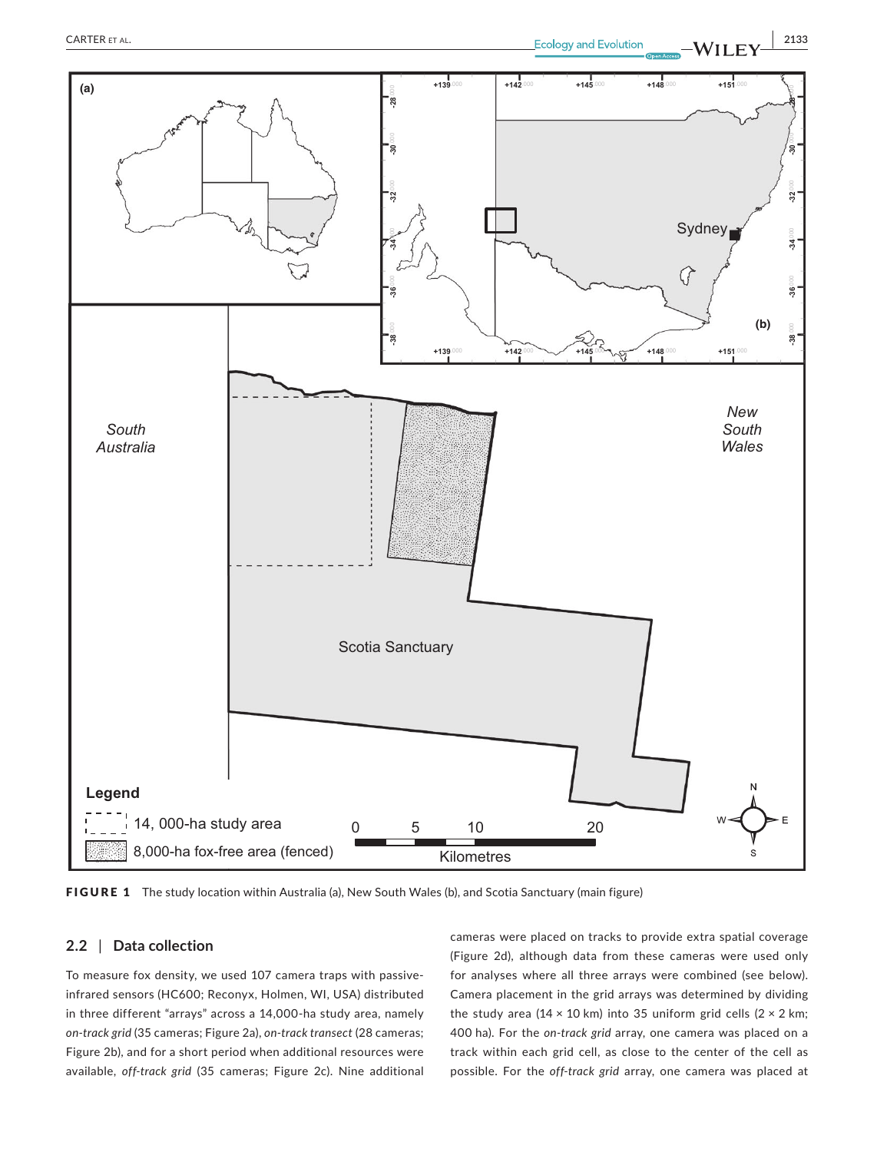

FIGURE 1 The study location within Australia (a), New South Wales (b), and Scotia Sanctuary (main figure)

# **2.2** | **Data collection**

To measure fox density, we used 107 camera traps with passive‐ infrared sensors (HC600; Reconyx, Holmen, WI, USA) distributed in three different "arrays" across a 14,000‐ha study area, namely *on‐track grid* (35 cameras; Figure 2a), *on‐track transect* (28 cameras; Figure 2b), and for a short period when additional resources were available, *off‐track grid* (35 cameras; Figure 2c). Nine additional

cameras were placed on tracks to provide extra spatial coverage (Figure 2d), although data from these cameras were used only for analyses where all three arrays were combined (see below). Camera placement in the grid arrays was determined by dividing the study area (14  $\times$  10 km) into 35 uniform grid cells (2  $\times$  2 km; 400 ha). For the *on‐track grid* array, one camera was placed on a track within each grid cell, as close to the center of the cell as possible. For the *off‐track grid* array, one camera was placed at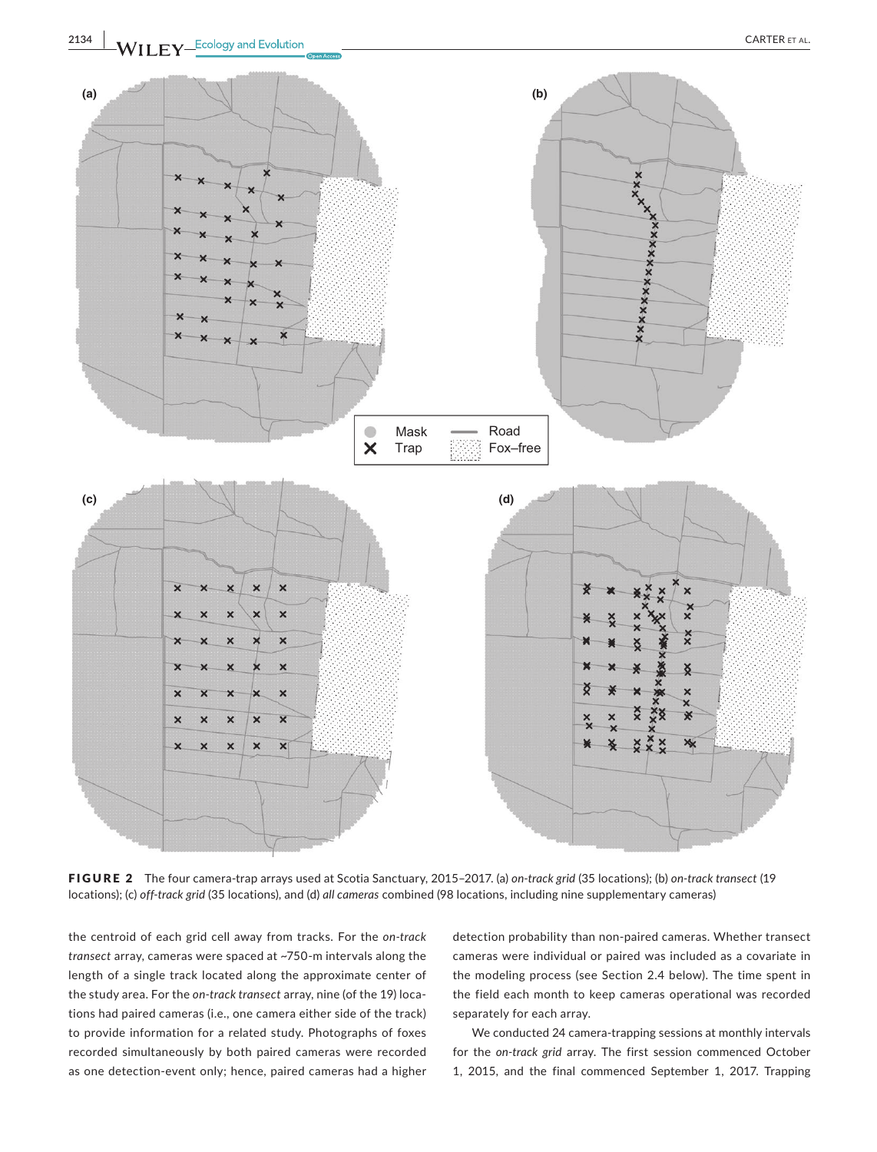

FIGURE 2 The four camera‐trap arrays used at Scotia Sanctuary, 2015–2017. (a) *on‐track grid* (35 locations); (b) *on‐track transect* (19 locations); (c) *off‐track grid* (35 locations), and (d) *all cameras* combined (98 locations, including nine supplementary cameras)

the centroid of each grid cell away from tracks. For the *on‐track transect* array, cameras were spaced at ~750‐m intervals along the length of a single track located along the approximate center of the study area. For the *on‐track transect* array, nine (of the 19) locations had paired cameras (i.e., one camera either side of the track) to provide information for a related study. Photographs of foxes recorded simultaneously by both paired cameras were recorded as one detection‐event only; hence, paired cameras had a higher detection probability than non‐paired cameras. Whether transect cameras were individual or paired was included as a covariate in the modeling process (see Section 2.4 below). The time spent in the field each month to keep cameras operational was recorded separately for each array.

We conducted 24 camera-trapping sessions at monthly intervals for the *on‐track grid* array. The first session commenced October 1, 2015, and the final commenced September 1, 2017. Trapping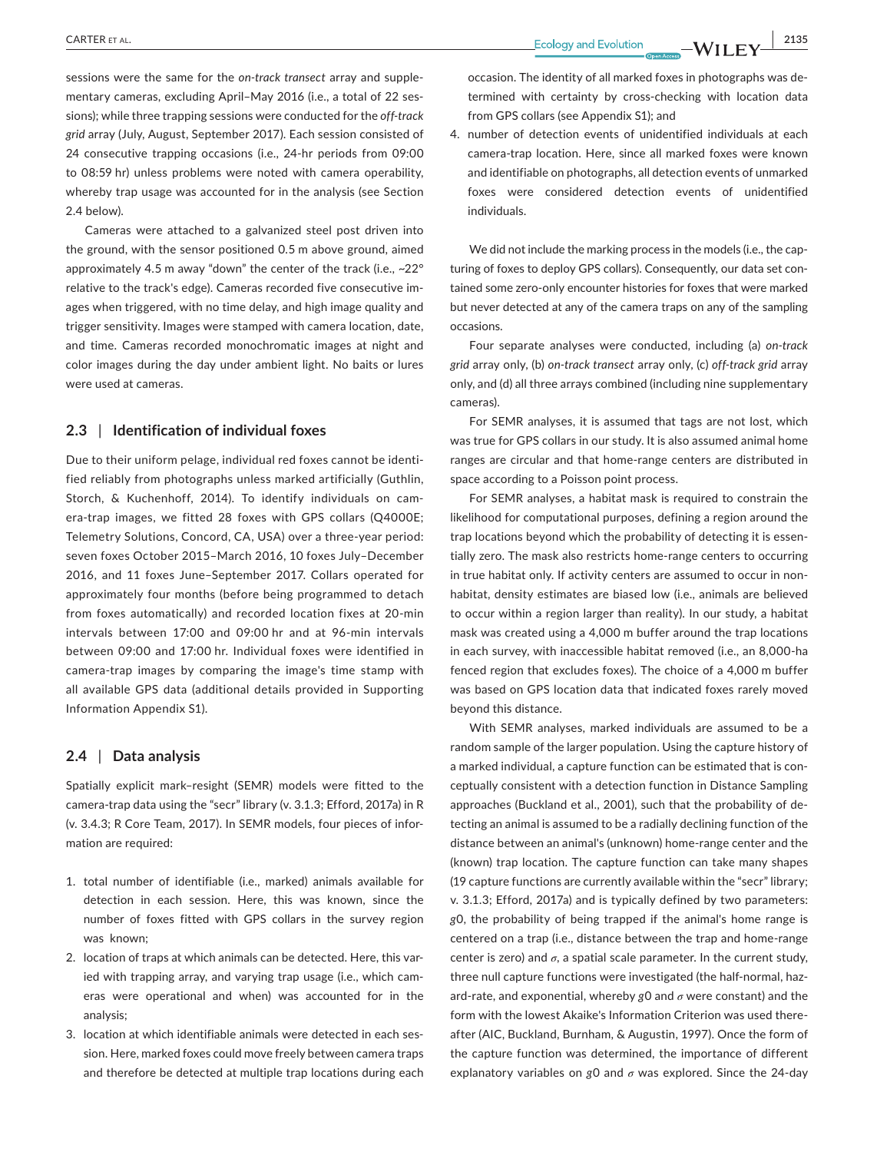sessions were the same for the *on-track transect* array and supplementary cameras, excluding April–May 2016 (i.e., a total of 22 sessions); while three trapping sessions were conducted for the *off‐track grid* array (July, August, September 2017). Each session consisted of 24 consecutive trapping occasions (i.e., 24‐hr periods from 09:00 to 08:59 hr) unless problems were noted with camera operability, whereby trap usage was accounted for in the analysis (see Section 2.4 below).

Cameras were attached to a galvanized steel post driven into the ground, with the sensor positioned 0.5 m above ground, aimed approximately 4.5 m away "down" the center of the track (i.e., ~22° relative to the track's edge). Cameras recorded five consecutive images when triggered, with no time delay, and high image quality and trigger sensitivity. Images were stamped with camera location, date, and time. Cameras recorded monochromatic images at night and color images during the day under ambient light. No baits or lures were used at cameras.

#### **2.3** | **Identification of individual foxes**

Due to their uniform pelage, individual red foxes cannot be identified reliably from photographs unless marked artificially (Guthlin, Storch, & Kuchenhoff, 2014). To identify individuals on camera-trap images, we fitted 28 foxes with GPS collars (Q4000E; Telemetry Solutions, Concord, CA, USA) over a three‐year period: seven foxes October 2015–March 2016, 10 foxes July–December 2016, and 11 foxes June–September 2017. Collars operated for approximately four months (before being programmed to detach from foxes automatically) and recorded location fixes at 20‐min intervals between 17:00 and 09:00 hr and at 96‐min intervals between 09:00 and 17:00 hr. Individual foxes were identified in camera‐trap images by comparing the image's time stamp with all available GPS data (additional details provided in Supporting Information Appendix S1).

#### **2.4** | **Data analysis**

Spatially explicit mark–resight (SEMR) models were fitted to the camera‐trap data using the "secr" library (v. 3.1.3; Efford, 2017a) in R (v. 3.4.3; R Core Team, 2017). In SEMR models, four pieces of information are required:

- 1. total number of identifiable (i.e., marked) animals available for detection in each session. Here, this was known, since the number of foxes fitted with GPS collars in the survey region was known;
- 2. location of traps at which animals can be detected. Here, this varied with trapping array, and varying trap usage (i.e., which cameras were operational and when) was accounted for in the analysis;
- 3. location at which identifiable animals were detected in each session. Here, marked foxes could move freely between camera traps and therefore be detected at multiple trap locations during each

occasion. The identity of all marked foxes in photographs was determined with certainty by cross‐checking with location data from GPS collars (see Appendix S1); and

4. number of detection events of unidentified individuals at each camera‐trap location. Here, since all marked foxes were known and identifiable on photographs, all detection events of unmarked foxes were considered detection events of unidentified individuals.

We did not include the marking process in the models (i.e., the capturing of foxes to deploy GPS collars). Consequently, our data set contained some zero‐only encounter histories for foxes that were marked but never detected at any of the camera traps on any of the sampling occasions.

Four separate analyses were conducted, including (a) *on‐track grid* array only, (b) *on‐track transect* array only, (c) *off‐track grid* array only, and (d) all three arrays combined (including nine supplementary cameras).

For SEMR analyses, it is assumed that tags are not lost, which was true for GPS collars in our study. It is also assumed animal home ranges are circular and that home‐range centers are distributed in space according to a Poisson point process.

For SEMR analyses, a habitat mask is required to constrain the likelihood for computational purposes, defining a region around the trap locations beyond which the probability of detecting it is essentially zero. The mask also restricts home‐range centers to occurring in true habitat only. If activity centers are assumed to occur in non‐ habitat, density estimates are biased low (i.e., animals are believed to occur within a region larger than reality). In our study, a habitat mask was created using a 4,000 m buffer around the trap locations in each survey, with inaccessible habitat removed (i.e., an 8,000‐ha fenced region that excludes foxes). The choice of a 4,000 m buffer was based on GPS location data that indicated foxes rarely moved beyond this distance.

With SEMR analyses, marked individuals are assumed to be a random sample of the larger population. Using the capture history of a marked individual, a capture function can be estimated that is conceptually consistent with a detection function in Distance Sampling approaches (Buckland et al., 2001), such that the probability of detecting an animal is assumed to be a radially declining function of the distance between an animal's (unknown) home‐range center and the (known) trap location. The capture function can take many shapes (19 capture functions are currently available within the "secr" library; v. 3.1.3; Efford, 2017a) and is typically defined by two parameters: *g*0, the probability of being trapped if the animal's home range is centered on a trap (i.e., distance between the trap and home‐range center is zero) and *σ*, a spatial scale parameter. In the current study, three null capture functions were investigated (the half‐normal, hazard‐rate, and exponential, whereby *g*0 and *σ* were constant) and the form with the lowest Akaike's Information Criterion was used thereafter (AIC, Buckland, Burnham, & Augustin, 1997). Once the form of the capture function was determined, the importance of different explanatory variables on *g*0 and *σ* was explored. Since the 24‐day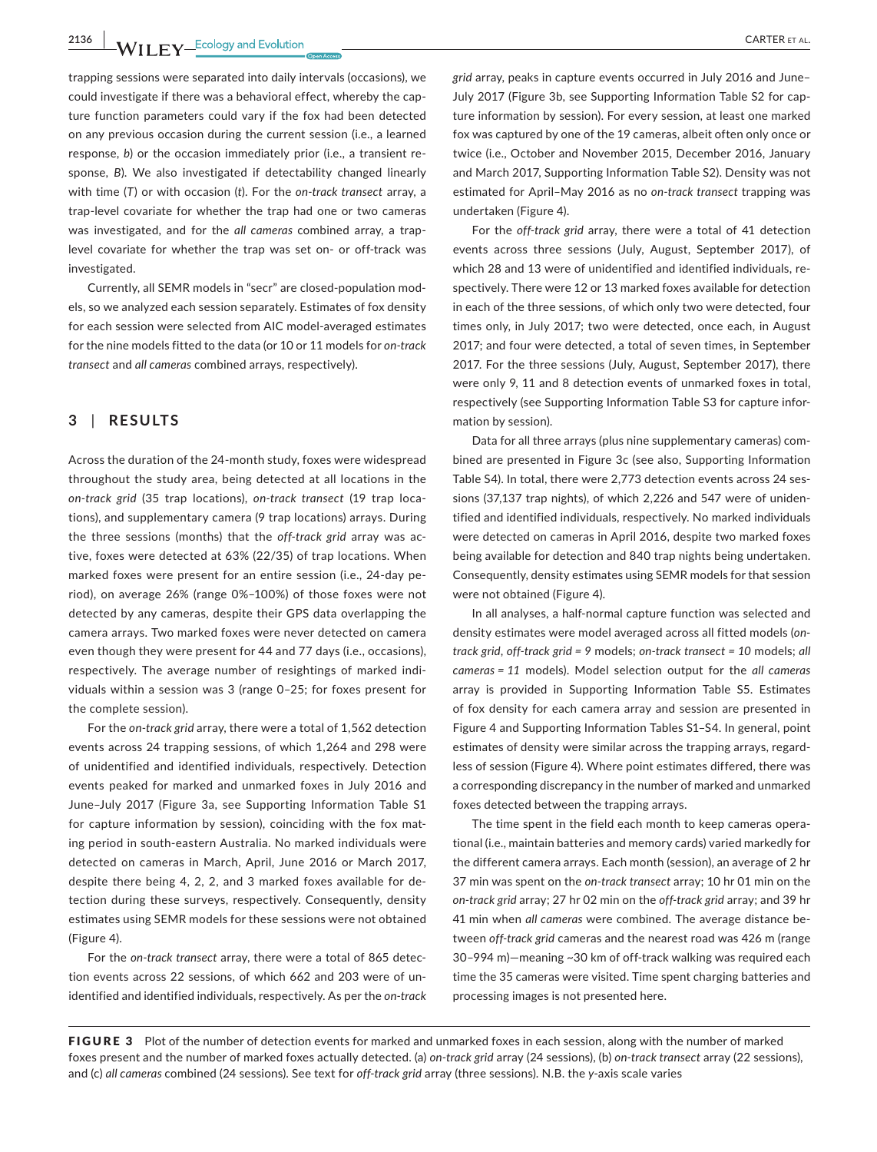**2136 WII FY** Ecology and Evolution **and Experiment CARTER ET AL.** 

trapping sessions were separated into daily intervals (occasions), we could investigate if there was a behavioral effect, whereby the capture function parameters could vary if the fox had been detected on any previous occasion during the current session (i.e., a learned response, *b*) or the occasion immediately prior (i.e., a transient response, *B*). We also investigated if detectability changed linearly with time (*T*) or with occasion (*t*). For the *on‐track transect* array, a trap‐level covariate for whether the trap had one or two cameras was investigated, and for the *all cameras* combined array, a trap‐ level covariate for whether the trap was set on- or off-track was investigated.

Currently, all SEMR models in "secr" are closed‐population models, so we analyzed each session separately. Estimates of fox density for each session were selected from AIC model‐averaged estimates for the nine models fitted to the data (or 10 or 11 models for *on‐track transect* and *all cameras* combined arrays, respectively).

# **3** | **RESULTS**

Across the duration of the 24‐month study, foxes were widespread throughout the study area, being detected at all locations in the *on‐track grid* (35 trap locations), *on‐track transect* (19 trap locations), and supplementary camera (9 trap locations) arrays. During the three sessions (months) that the *off‐track grid* array was active, foxes were detected at 63% (22/35) of trap locations. When marked foxes were present for an entire session (i.e., 24‐day period), on average 26% (range 0%–100%) of those foxes were not detected by any cameras, despite their GPS data overlapping the camera arrays. Two marked foxes were never detected on camera even though they were present for 44 and 77 days (i.e., occasions), respectively. The average number of resightings of marked individuals within a session was 3 (range 0–25; for foxes present for the complete session).

For the *on-track grid* array, there were a total of 1,562 detection events across 24 trapping sessions, of which 1,264 and 298 were of unidentified and identified individuals, respectively. Detection events peaked for marked and unmarked foxes in July 2016 and June–July 2017 (Figure 3a, see Supporting Information Table S1 for capture information by session), coinciding with the fox mating period in south‐eastern Australia. No marked individuals were detected on cameras in March, April, June 2016 or March 2017, despite there being 4, 2, 2, and 3 marked foxes available for detection during these surveys, respectively. Consequently, density estimates using SEMR models for these sessions were not obtained (Figure 4).

For the *on‐track transect* array, there were a total of 865 detection events across 22 sessions, of which 662 and 203 were of unidentified and identified individuals, respectively. As per the *on‐track*  *grid* array, peaks in capture events occurred in July 2016 and June– July 2017 (Figure 3b, see Supporting Information Table S2 for capture information by session). For every session, at least one marked fox was captured by one of the 19 cameras, albeit often only once or twice (i.e., October and November 2015, December 2016, January and March 2017, Supporting Information Table S2). Density was not estimated for April–May 2016 as no *on‐track transect* trapping was undertaken (Figure 4).

For the *off‐track grid* array, there were a total of 41 detection events across three sessions (July, August, September 2017), of which 28 and 13 were of unidentified and identified individuals, respectively. There were 12 or 13 marked foxes available for detection in each of the three sessions, of which only two were detected, four times only, in July 2017; two were detected, once each, in August 2017; and four were detected, a total of seven times, in September 2017. For the three sessions (July, August, September 2017), there were only 9, 11 and 8 detection events of unmarked foxes in total, respectively (see Supporting Information Table S3 for capture information by session).

Data for all three arrays (plus nine supplementary cameras) combined are presented in Figure 3c (see also, Supporting Information Table S4). In total, there were 2,773 detection events across 24 sessions (37,137 trap nights), of which 2,226 and 547 were of unidentified and identified individuals, respectively. No marked individuals were detected on cameras in April 2016, despite two marked foxes being available for detection and 840 trap nights being undertaken. Consequently, density estimates using SEMR models for that session were not obtained (Figure 4).

In all analyses, a half‐normal capture function was selected and density estimates were model averaged across all fitted models (*on‐ track grid*, *off‐track grid = 9* models; *on‐track transect = 10* models; *all cameras = 11* models). Model selection output for the *all cameras* array is provided in Supporting Information Table S5. Estimates of fox density for each camera array and session are presented in Figure 4 and Supporting Information Tables S1–S4. In general, point estimates of density were similar across the trapping arrays, regardless of session (Figure 4). Where point estimates differed, there was a corresponding discrepancy in the number of marked and unmarked foxes detected between the trapping arrays.

The time spent in the field each month to keep cameras operational (i.e., maintain batteries and memory cards) varied markedly for the different camera arrays. Each month (session), an average of 2 hr 37 min was spent on the *on‐track transect* array; 10 hr 01 min on the *on‐track grid* array; 27 hr 02 min on the *off‐track grid* array; and 39 hr 41 min when *all cameras* were combined. The average distance between *off‐track grid* cameras and the nearest road was 426 m (range 30–994 m)—meaning ~30 km of off‐track walking was required each time the 35 cameras were visited. Time spent charging batteries and processing images is not presented here.

FIGURE 3 Plot of the number of detection events for marked and unmarked foxes in each session, along with the number of marked foxes present and the number of marked foxes actually detected. (a) *on‐track grid* array (24 sessions), (b) *on‐track transect* array (22 sessions), and (c) *all cameras* combined (24 sessions). See text for *off‐track grid* array (three sessions). N.B. the *y*‐axis scale varies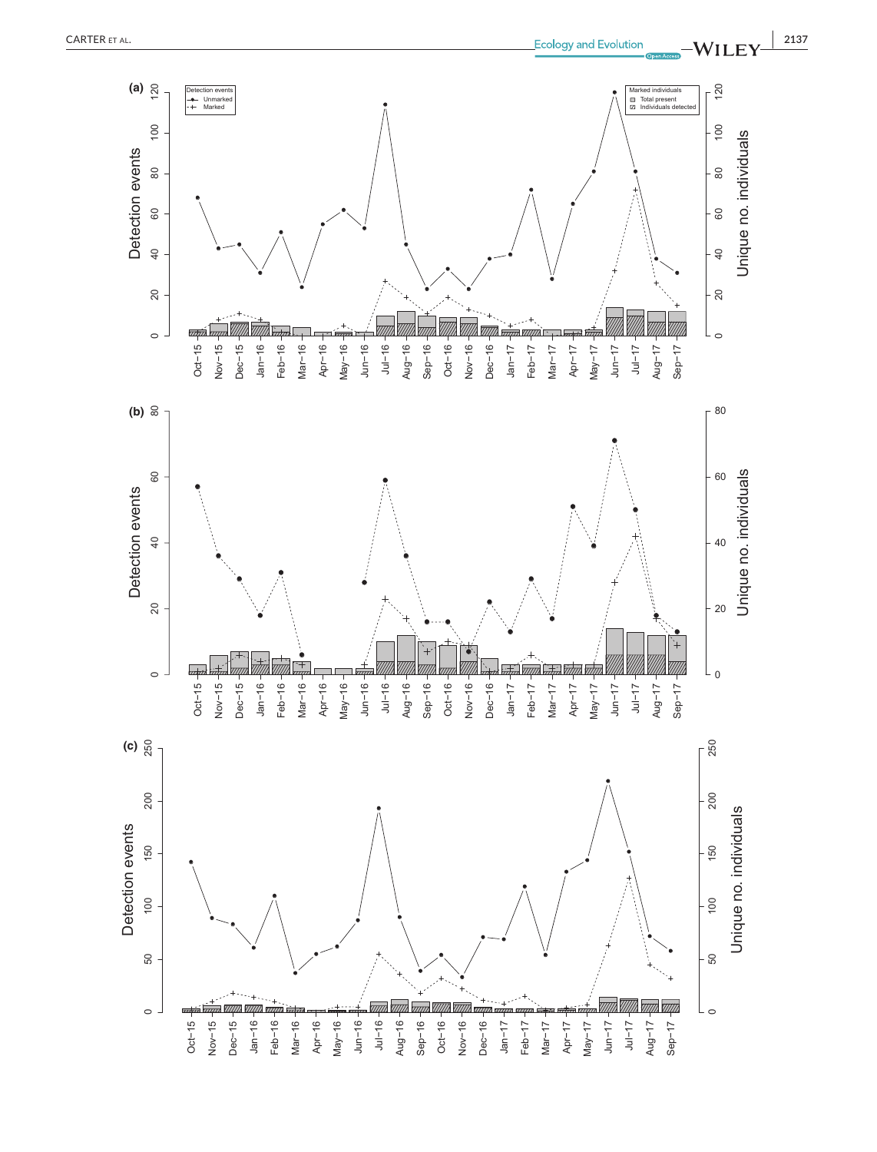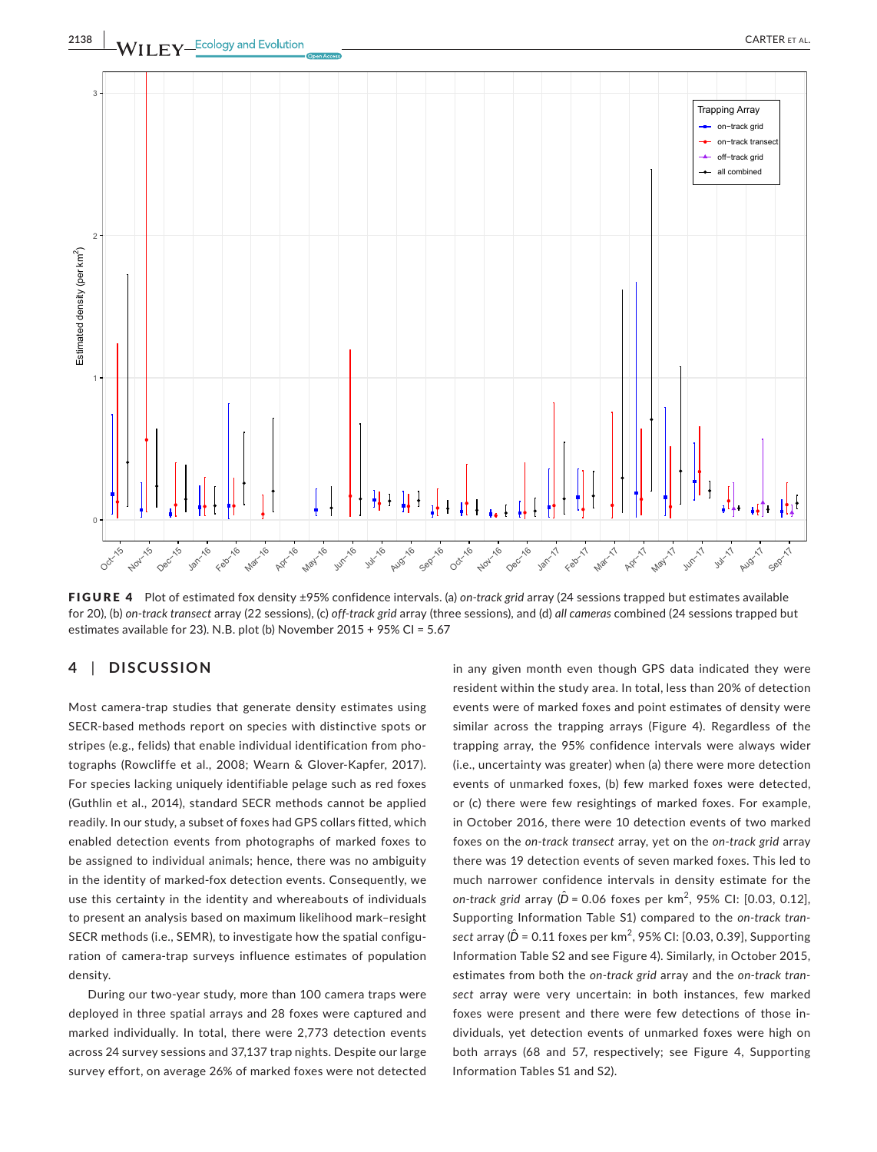

FIGURE 4 Plot of estimated fox density ±95% confidence intervals. (a) on-track grid array (24 sessions trapped but estimates available for 20), (b) *on‐track transect* array (22 sessions), (c) *off‐track grid* array (three sessions), and (d) *all cameras* combined (24 sessions trapped but estimates available for 23). N.B. plot (b) November 2015 + 95% CI = 5.67

## **4** | **DISCUSSION**

Most camera‐trap studies that generate density estimates using SECR‐based methods report on species with distinctive spots or stripes (e.g., felids) that enable individual identification from photographs (Rowcliffe et al., 2008; Wearn & Glover‐Kapfer, 2017). For species lacking uniquely identifiable pelage such as red foxes (Guthlin et al., 2014), standard SECR methods cannot be applied readily. In our study, a subset of foxes had GPS collars fitted, which enabled detection events from photographs of marked foxes to be assigned to individual animals; hence, there was no ambiguity in the identity of marked-fox detection events. Consequently, we use this certainty in the identity and whereabouts of individuals to present an analysis based on maximum likelihood mark–resight SECR methods (i.e., SEMR), to investigate how the spatial configuration of camera‐trap surveys influence estimates of population density.

During our two‐year study, more than 100 camera traps were deployed in three spatial arrays and 28 foxes were captured and marked individually. In total, there were 2,773 detection events across 24 survey sessions and 37,137 trap nights. Despite our large survey effort, on average 26% of marked foxes were not detected

in any given month even though GPS data indicated they were resident within the study area. In total, less than 20% of detection events were of marked foxes and point estimates of density were similar across the trapping arrays (Figure 4). Regardless of the trapping array, the 95% confidence intervals were always wider (i.e., uncertainty was greater) when (a) there were more detection events of unmarked foxes, (b) few marked foxes were detected, or (c) there were few resightings of marked foxes. For example, in October 2016, there were 10 detection events of two marked foxes on the *on‐track transect* array, yet on the *on‐track grid* array there was 19 detection events of seven marked foxes. This led to much narrower confidence intervals in density estimate for the *on‐track grid* array (*̂ D* = 0.06 foxes per km<sup>2</sup> , 95% CI: [0.03, 0.12], Supporting Information Table S1) compared to the *on‐track tran‐ sect a*rray ( $\hat{D}$  = 0.11 foxes per km<sup>2</sup>, 95% CI: [0.03, 0.39], Supporting Information Table S2 and see Figure 4). Similarly, in October 2015, estimates from both the *on‐track grid* array and the *on‐track tran‐ sect* array were very uncertain: in both instances, few marked foxes were present and there were few detections of those individuals, yet detection events of unmarked foxes were high on both arrays (68 and 57, respectively; see Figure 4, Supporting Information Tables S1 and S2).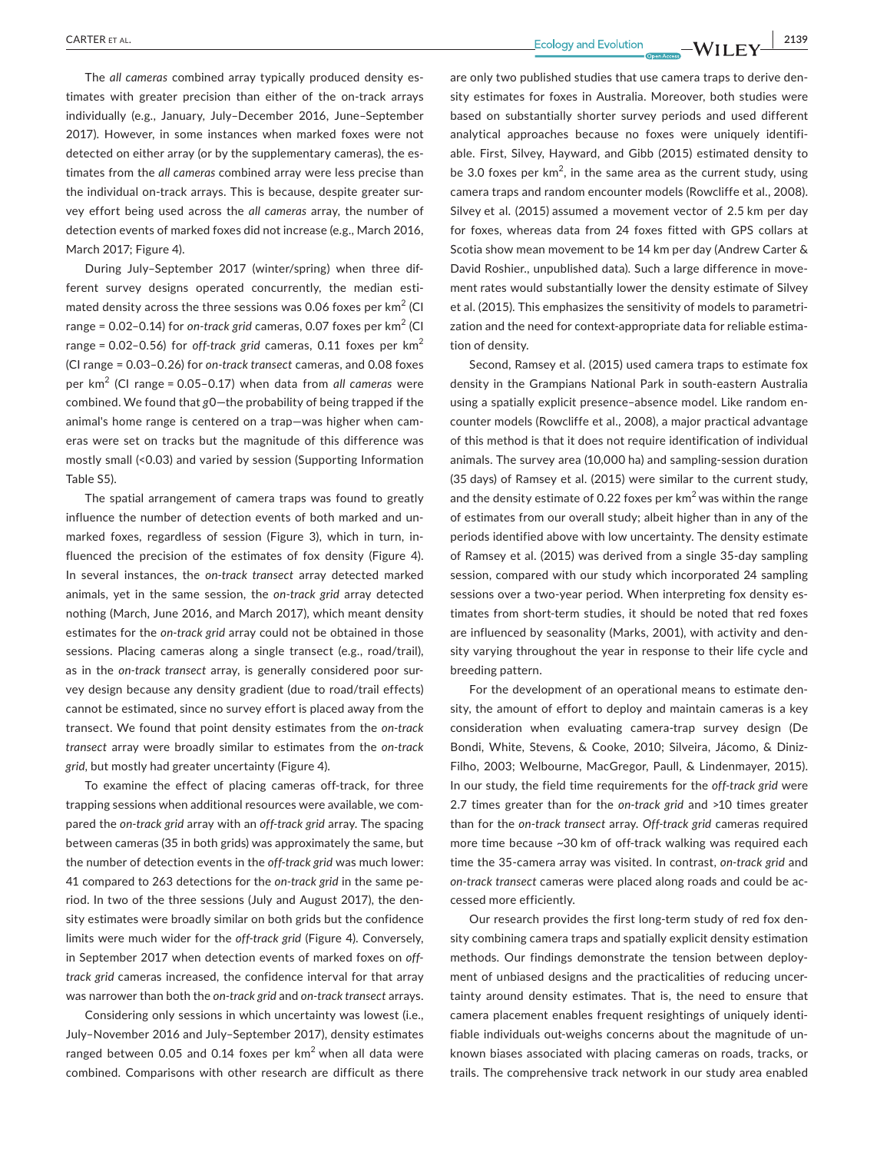**|** CARTER et al. **2139**

The *all cameras* combined array typically produced density estimates with greater precision than either of the on-track arrays individually (e.g., January, July–December 2016, June–September 2017). However, in some instances when marked foxes were not detected on either array (or by the supplementary cameras), the estimates from the *all cameras* combined array were less precise than the individual on‐track arrays. This is because, despite greater survey effort being used across the *all cameras* array, the number of detection events of marked foxes did not increase (e.g., March 2016, March 2017; Figure 4).

During July–September 2017 (winter/spring) when three different survey designs operated concurrently, the median estimated density across the three sessions was 0.06 foxes per  $km^2$  (CI range = 0.02-0.14) for *on-track grid* cameras, 0.07 foxes per km<sup>2</sup> (CI range = 0.02–0.56) for *off‐track grid* cameras, 0.11 foxes per km<sup>2</sup> (CI range = 0.03–0.26) for *on‐track transect* cameras, and 0.08 foxes per km<sup>2</sup> (CI range = 0.05–0.17) when data from *all cameras* were combined. We found that *g*0—the probability of being trapped if the animal's home range is centered on a trap—was higher when cameras were set on tracks but the magnitude of this difference was mostly small (<0.03) and varied by session (Supporting Information Table S5).

The spatial arrangement of camera traps was found to greatly influence the number of detection events of both marked and unmarked foxes, regardless of session (Figure 3), which in turn, influenced the precision of the estimates of fox density (Figure 4). In several instances, the *on‐track transect* array detected marked animals, yet in the same session, the *on‐track grid* array detected nothing (March, June 2016, and March 2017), which meant density estimates for the on-track grid array could not be obtained in those sessions. Placing cameras along a single transect (e.g., road/trail), as in the *on‐track transect* array, is generally considered poor survey design because any density gradient (due to road/trail effects) cannot be estimated, since no survey effort is placed away from the transect. We found that point density estimates from the *on‐track transect* array were broadly similar to estimates from the *on‐track grid*, but mostly had greater uncertainty (Figure 4).

To examine the effect of placing cameras off-track, for three trapping sessions when additional resources were available, we compared the *on‐track grid* array with an *off‐track grid* array. The spacing between cameras (35 in both grids) was approximately the same, but the number of detection events in the *off‐track grid* was much lower: 41 compared to 263 detections for the *on‐track grid* in the same period. In two of the three sessions (July and August 2017), the density estimates were broadly similar on both grids but the confidence limits were much wider for the *off‐track grid* (Figure 4). Conversely, in September 2017 when detection events of marked foxes on *off‐ track grid* cameras increased, the confidence interval for that array was narrower than both the *on‐track grid* and *on‐track transect* arrays.

Considering only sessions in which uncertainty was lowest (i.e., July–November 2016 and July–September 2017), density estimates ranged between 0.05 and 0.14 foxes per  $km<sup>2</sup>$  when all data were combined. Comparisons with other research are difficult as there are only two published studies that use camera traps to derive density estimates for foxes in Australia. Moreover, both studies were based on substantially shorter survey periods and used different analytical approaches because no foxes were uniquely identifiable. First, Silvey, Hayward, and Gibb (2015) estimated density to be 3.0 foxes per  $km^2$ , in the same area as the current study, using camera traps and random encounter models (Rowcliffe et al., 2008). Silvey et al. (2015) assumed a movement vector of 2.5 km per day for foxes, whereas data from 24 foxes fitted with GPS collars at Scotia show mean movement to be 14 km per day (Andrew Carter & David Roshier., unpublished data). Such a large difference in movement rates would substantially lower the density estimate of Silvey et al. (2015). This emphasizes the sensitivity of models to parametrization and the need for context-appropriate data for reliable estimation of density.

Second, Ramsey et al. (2015) used camera traps to estimate fox density in the Grampians National Park in south‐eastern Australia using a spatially explicit presence–absence model. Like random encounter models (Rowcliffe et al., 2008), a major practical advantage of this method is that it does not require identification of individual animals. The survey area (10,000 ha) and sampling‐session duration (35 days) of Ramsey et al. (2015) were similar to the current study, and the density estimate of 0.22 foxes per  $km^2$  was within the range of estimates from our overall study; albeit higher than in any of the periods identified above with low uncertainty. The density estimate of Ramsey et al. (2015) was derived from a single 35‐day sampling session, compared with our study which incorporated 24 sampling sessions over a two-year period. When interpreting fox density estimates from short-term studies, it should be noted that red foxes are influenced by seasonality (Marks, 2001), with activity and density varying throughout the year in response to their life cycle and breeding pattern.

For the development of an operational means to estimate density, the amount of effort to deploy and maintain cameras is a key consideration when evaluating camera‐trap survey design (De Bondi, White, Stevens, & Cooke, 2010; Silveira, Jácomo, & Diniz‐ Filho, 2003; Welbourne, MacGregor, Paull, & Lindenmayer, 2015). In our study, the field time requirements for the *off‐track grid* were 2.7 times greater than for the on-track grid and >10 times greater than for the *on‐track transect* array. *Off‐track grid* cameras required more time because ~30 km of off-track walking was required each time the 35‐camera array was visited. In contrast, *on‐track grid* and *on‐track transect* cameras were placed along roads and could be accessed more efficiently.

Our research provides the first long-term study of red fox density combining camera traps and spatially explicit density estimation methods. Our findings demonstrate the tension between deployment of unbiased designs and the practicalities of reducing uncertainty around density estimates. That is, the need to ensure that camera placement enables frequent resightings of uniquely identifiable individuals out-weighs concerns about the magnitude of unknown biases associated with placing cameras on roads, tracks, or trails. The comprehensive track network in our study area enabled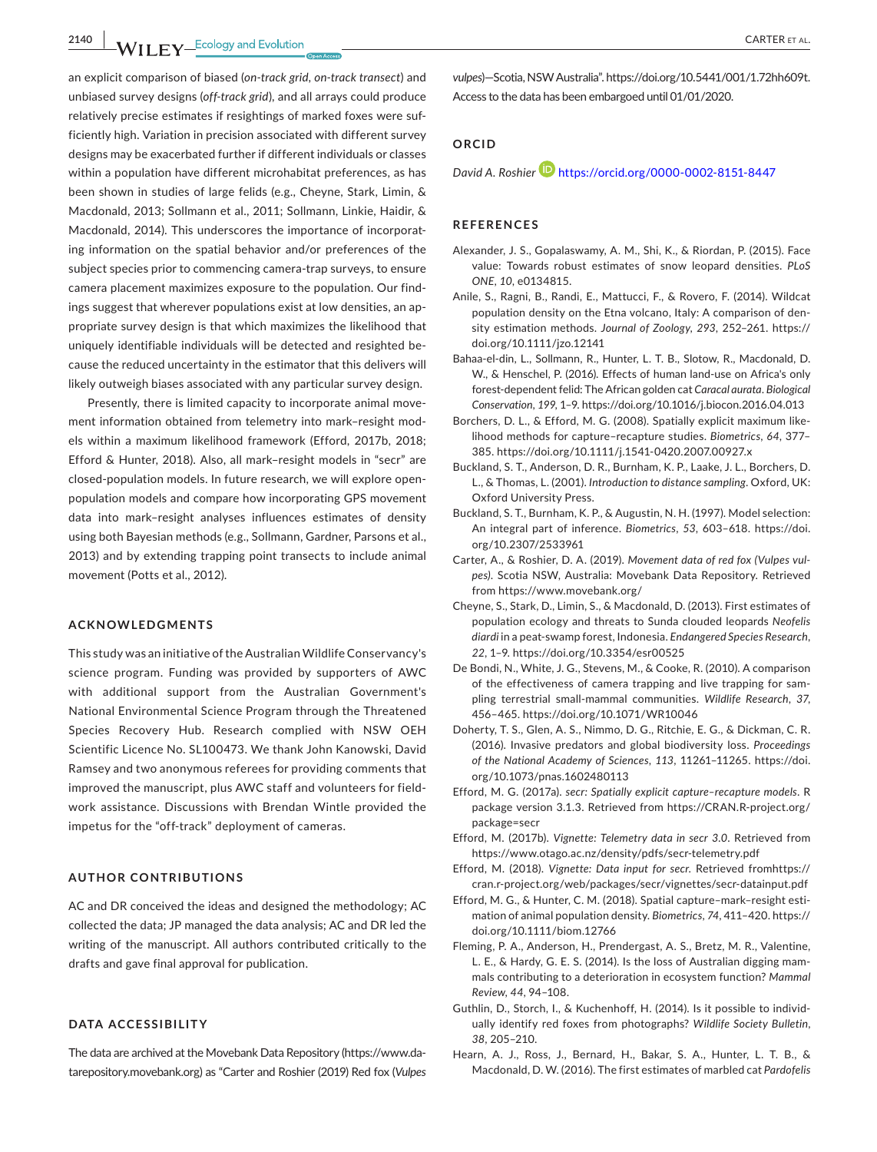**2140 LEV LEV LEV ECOLUT EV ECOLUT EV CARTER ET AL.** 

an explicit comparison of biased (*on‐track grid*, *on‐track transect*) and unbiased survey designs (*off‐track grid*), and all arrays could produce relatively precise estimates if resightings of marked foxes were sufficiently high. Variation in precision associated with different survey designs may be exacerbated further if different individuals or classes within a population have different microhabitat preferences, as has been shown in studies of large felids (e.g., Cheyne, Stark, Limin, & Macdonald, 2013; Sollmann et al., 2011; Sollmann, Linkie, Haidir, & Macdonald, 2014). This underscores the importance of incorporating information on the spatial behavior and/or preferences of the subject species prior to commencing camera‐trap surveys, to ensure camera placement maximizes exposure to the population. Our findings suggest that wherever populations exist at low densities, an appropriate survey design is that which maximizes the likelihood that uniquely identifiable individuals will be detected and resighted because the reduced uncertainty in the estimator that this delivers will likely outweigh biases associated with any particular survey design.

Presently, there is limited capacity to incorporate animal movement information obtained from telemetry into mark–resight models within a maximum likelihood framework (Efford, 2017b, 2018; Efford & Hunter, 2018). Also, all mark–resight models in "secr" are closed‐population models. In future research, we will explore open‐ population models and compare how incorporating GPS movement data into mark–resight analyses influences estimates of density using both Bayesian methods (e.g., Sollmann, Gardner, Parsons et al., 2013) and by extending trapping point transects to include animal movement (Potts et al., 2012).

#### **ACKNOWLEDGMENTS**

This study was an initiative ofthe Australian Wildlife Conservancy's science program. Funding was provided by supporters of AWC with additional support from the Australian Government's National Environmental Science Program through the Threatened Species Recovery Hub. Research complied with NSW OEH Scientific Licence No. SL100473. We thank John Kanowski, David Ramsey and two anonymous referees for providing comments that improved the manuscript, plus AWC staff and volunteers for fieldwork assistance. Discussions with Brendan Wintle provided the impetus for the "off-track" deployment of cameras.

#### **AUTHOR CONTRIBUTIONS**

AC and DR conceived the ideas and designed the methodology; AC collected the data; JP managed the data analysis; AC and DR led the writing of the manuscript. All authors contributed critically to the drafts and gave final approval for publication.

#### **DATA ACCESSIBILITY**

The data are archived at the Movebank Data Repository [\(https://www.da](https://www.datarepository.movebank.org)[tarepository.movebank.org](https://www.datarepository.movebank.org)) as "Carter and Roshier (2019) Red fox (*Vulpes* 

*vulpes*)—Scotia,NSWAustralia". [https://doi.org/10.5441/001/1.72hh609t.](https://doi.org/10.5441/001/1.72hh609t) Access to the data has been embargoed until 01/01/2020.

#### **ORCID**

*David A. Roshier* <https://orcid.org/0000-0002-8151-8447>

#### **REFERENCES**

- Alexander, J. S., Gopalaswamy, A. M., Shi, K., & Riordan, P. (2015). Face value: Towards robust estimates of snow leopard densities. *PLoS ONE*, *10*, e0134815.
- Anile, S., Ragni, B., Randi, E., Mattucci, F., & Rovero, F. (2014). Wildcat population density on the Etna volcano, Italy: A comparison of density estimation methods. *Journal of Zoology*, *293*, 252–261. [https://](https://doi.org/10.1111/jzo.12141) [doi.org/10.1111/jzo.12141](https://doi.org/10.1111/jzo.12141)
- Bahaa‐el‐din, L., Sollmann, R., Hunter, L. T. B., Slotow, R., Macdonald, D. W., & Henschel, P. (2016). Effects of human land‐use on Africa's only forest‐dependent felid: The African golden cat *Caracal aurata*. *Biological Conservation*, *199*, 1–9. <https://doi.org/10.1016/j.biocon.2016.04.013>
- Borchers, D. L., & Efford, M. G. (2008). Spatially explicit maximum likelihood methods for capture–recapture studies. *Biometrics*, *64*, 377– 385. <https://doi.org/10.1111/j.1541-0420.2007.00927.x>
- Buckland, S. T., Anderson, D. R., Burnham, K. P., Laake, J. L., Borchers, D. L., & Thomas, L. (2001). *Introduction to distance sampling*. Oxford, UK: Oxford University Press.
- Buckland, S. T., Burnham, K. P., & Augustin, N. H. (1997). Model selection: An integral part of inference. *Biometrics*, *53*, 603–618. [https://doi.](https://doi.org/10.2307/2533961) [org/10.2307/2533961](https://doi.org/10.2307/2533961)
- Carter, A., & Roshier, D. A. (2019). *Movement data of red fox (Vulpes vul‐ pes)*. Scotia NSW, Australia: Movebank Data Repository. Retrieved from <https://www.movebank.org/>
- Cheyne, S., Stark, D., Limin, S., & Macdonald, D. (2013). First estimates of population ecology and threats to Sunda clouded leopards *Neofelis diardi* in a peat‐swamp forest, Indonesia. *Endangered Species Research*, *22*, 1–9. <https://doi.org/10.3354/esr00525>
- De Bondi, N., White, J. G., Stevens, M., & Cooke, R. (2010). A comparison of the effectiveness of camera trapping and live trapping for sampling terrestrial small‐mammal communities. *Wildlife Research*, *37*, 456–465. <https://doi.org/10.1071/WR10046>
- Doherty, T. S., Glen, A. S., Nimmo, D. G., Ritchie, E. G., & Dickman, C. R. (2016). Invasive predators and global biodiversity loss. *Proceedings of the National Academy of Sciences*, *113*, 11261–11265. [https://doi.](https://doi.org/10.1073/pnas.1602480113) [org/10.1073/pnas.1602480113](https://doi.org/10.1073/pnas.1602480113)
- Efford, M. G. (2017a). *secr: Spatially explicit capture–recapture models*. R package version 3.1.3. Retrieved from [https://CRAN.R-project.org/](https://CRAN.R-project.org/package=secr) [package=secr](https://CRAN.R-project.org/package=secr)
- Efford, M. (2017b). *Vignette: Telemetry data in secr 3.0*. Retrieved from <https://www.otago.ac.nz/density/pdfs/secr-telemetry.pdf>
- Efford, M. (2018). *Vignette: Data input for secr*. Retrieved from[https://](https://cran.r-project.org/web/packages/secr/vignettes/secr-datainput.pdf) [cran.r-project.org/web/packages/secr/vignettes/secr-datainput.pdf](https://cran.r-project.org/web/packages/secr/vignettes/secr-datainput.pdf)
- Efford, M. G., & Hunter, C. M. (2018). Spatial capture–mark–resight estimation of animal population density. *Biometrics*, *74*, 411–420. [https://](https://doi.org/10.1111/biom.12766) [doi.org/10.1111/biom.12766](https://doi.org/10.1111/biom.12766)
- Fleming, P. A., Anderson, H., Prendergast, A. S., Bretz, M. R., Valentine, L. E., & Hardy, G. E. S. (2014). Is the loss of Australian digging mammals contributing to a deterioration in ecosystem function? *Mammal Review*, *44*, 94–108.
- Guthlin, D., Storch, I., & Kuchenhoff, H. (2014). Is it possible to individually identify red foxes from photographs? *Wildlife Society Bulletin*, *38*, 205–210.
- Hearn, A. J., Ross, J., Bernard, H., Bakar, S. A., Hunter, L. T. B., & Macdonald, D. W. (2016). The first estimates of marbled cat *Pardofelis*